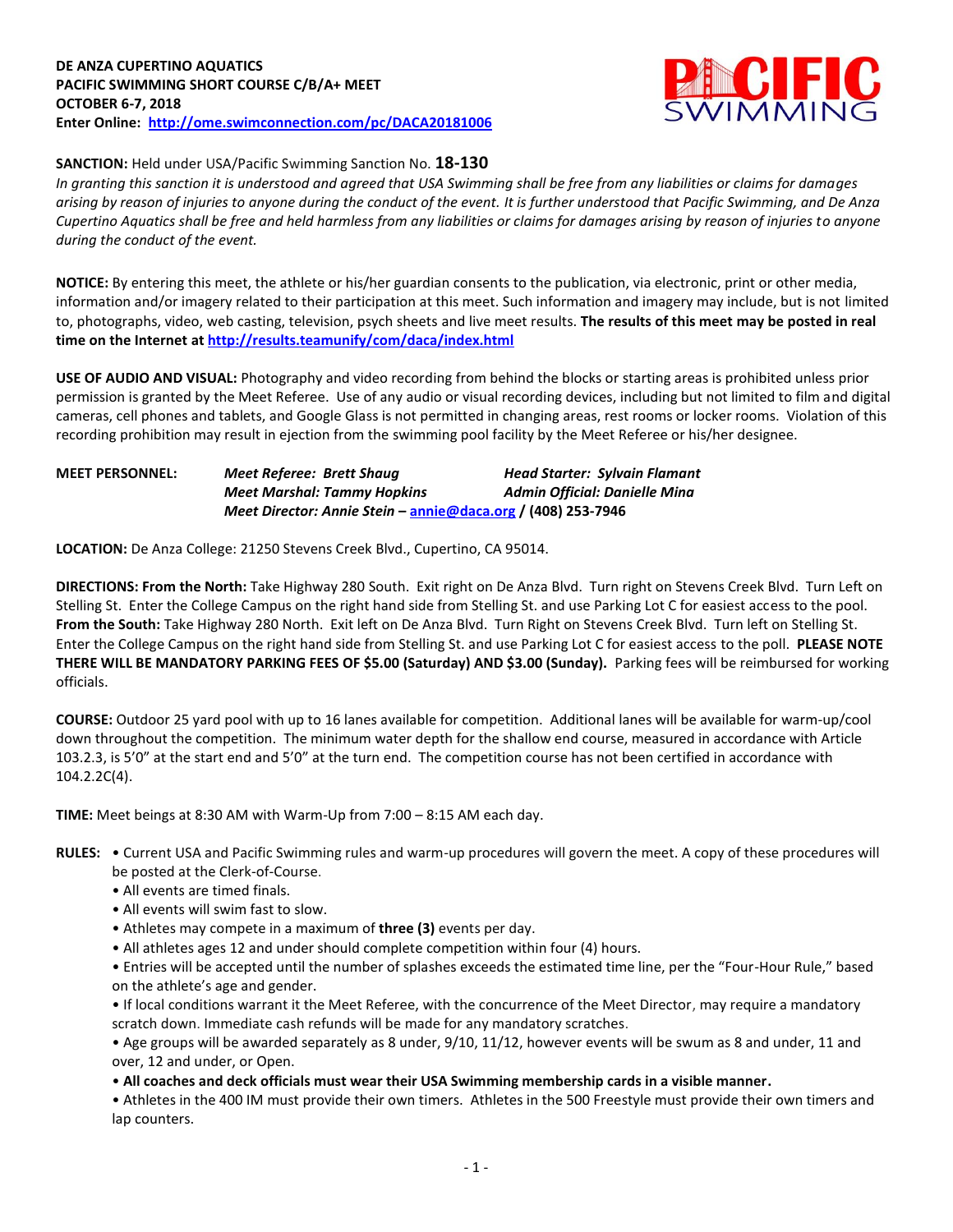

# **SANCTION:** Held under USA/Pacific Swimming Sanction No. **18-130**

*In granting this sanction it is understood and agreed that USA Swimming shall be free from any liabilities or claims for damages arising by reason of injuries to anyone during the conduct of the event. It is further understood that Pacific Swimming, and De Anza Cupertino Aquatics shall be free and held harmless from any liabilities or claims for damages arising by reason of injuries to anyone during the conduct of the event.*

**NOTICE:** By entering this meet, the athlete or his/her guardian consents to the publication, via electronic, print or other media, information and/or imagery related to their participation at this meet. Such information and imagery may include, but is not limited to, photographs, video, web casting, television, psych sheets and live meet results. **The results of this meet may be posted in real time on the Internet a[t http://results.teamunify/com/daca/index.html](http://results.teamunify/com/daca/index.html)**

**USE OF AUDIO AND VISUAL:** Photography and video recording from behind the blocks or starting areas is prohibited unless prior permission is granted by the Meet Referee. Use of any audio or visual recording devices, including but not limited to film and digital cameras, cell phones and tablets, and Google Glass is not permitted in changing areas, rest rooms or locker rooms. Violation of this recording prohibition may result in ejection from the swimming pool facility by the Meet Referee or his/her designee.

| <b>MEET PERSONNEL:</b> | Meet Referee: Brett Shaug                                    | <b>Head Starter: Sylvain Flamant</b> |
|------------------------|--------------------------------------------------------------|--------------------------------------|
|                        | <b>Meet Marshal: Tammy Hopkins</b>                           | Admin Official: Danielle Mina        |
|                        | Meet Director: Annie Stein – annie@daca.org / (408) 253-7946 |                                      |

**LOCATION:** De Anza College: 21250 Stevens Creek Blvd., Cupertino, CA 95014.

**DIRECTIONS: From the North:** Take Highway 280 South. Exit right on De Anza Blvd. Turn right on Stevens Creek Blvd. Turn Left on Stelling St. Enter the College Campus on the right hand side from Stelling St. and use Parking Lot C for easiest access to the pool. **From the South:** Take Highway 280 North. Exit left on De Anza Blvd. Turn Right on Stevens Creek Blvd. Turn left on Stelling St. Enter the College Campus on the right hand side from Stelling St. and use Parking Lot C for easiest access to the poll. **PLEASE NOTE THERE WILL BE MANDATORY PARKING FEES OF \$5.00 (Saturday) AND \$3.00 (Sunday).** Parking fees will be reimbursed for working officials.

**COURSE:** Outdoor 25 yard pool with up to 16 lanes available for competition. Additional lanes will be available for warm-up/cool down throughout the competition. The minimum water depth for the shallow end course, measured in accordance with Article 103.2.3, is 5'0" at the start end and 5'0" at the turn end. The competition course has not been certified in accordance with 104.2.2C(4).

**TIME:** Meet beings at 8:30 AM with Warm-Up from 7:00 – 8:15 AM each day.

- **RULES:** Current USA and Pacific Swimming rules and warm-up procedures will govern the meet. A copy of these procedures will be posted at the Clerk-of-Course.
	- All events are timed finals.
	- All events will swim fast to slow.
	- Athletes may compete in a maximum of **three (3)** events per day.
	- All athletes ages 12 and under should complete competition within four (4) hours.

• Entries will be accepted until the number of splashes exceeds the estimated time line, per the "Four-Hour Rule," based on the athlete's age and gender.

• If local conditions warrant it the Meet Referee, with the concurrence of the Meet Director, may require a mandatory scratch down. Immediate cash refunds will be made for any mandatory scratches.

• Age groups will be awarded separately as 8 under, 9/10, 11/12, however events will be swum as 8 and under, 11 and over, 12 and under, or Open.

• **All coaches and deck officials must wear their USA Swimming membership cards in a visible manner.** 

• Athletes in the 400 IM must provide their own timers. Athletes in the 500 Freestyle must provide their own timers and lap counters.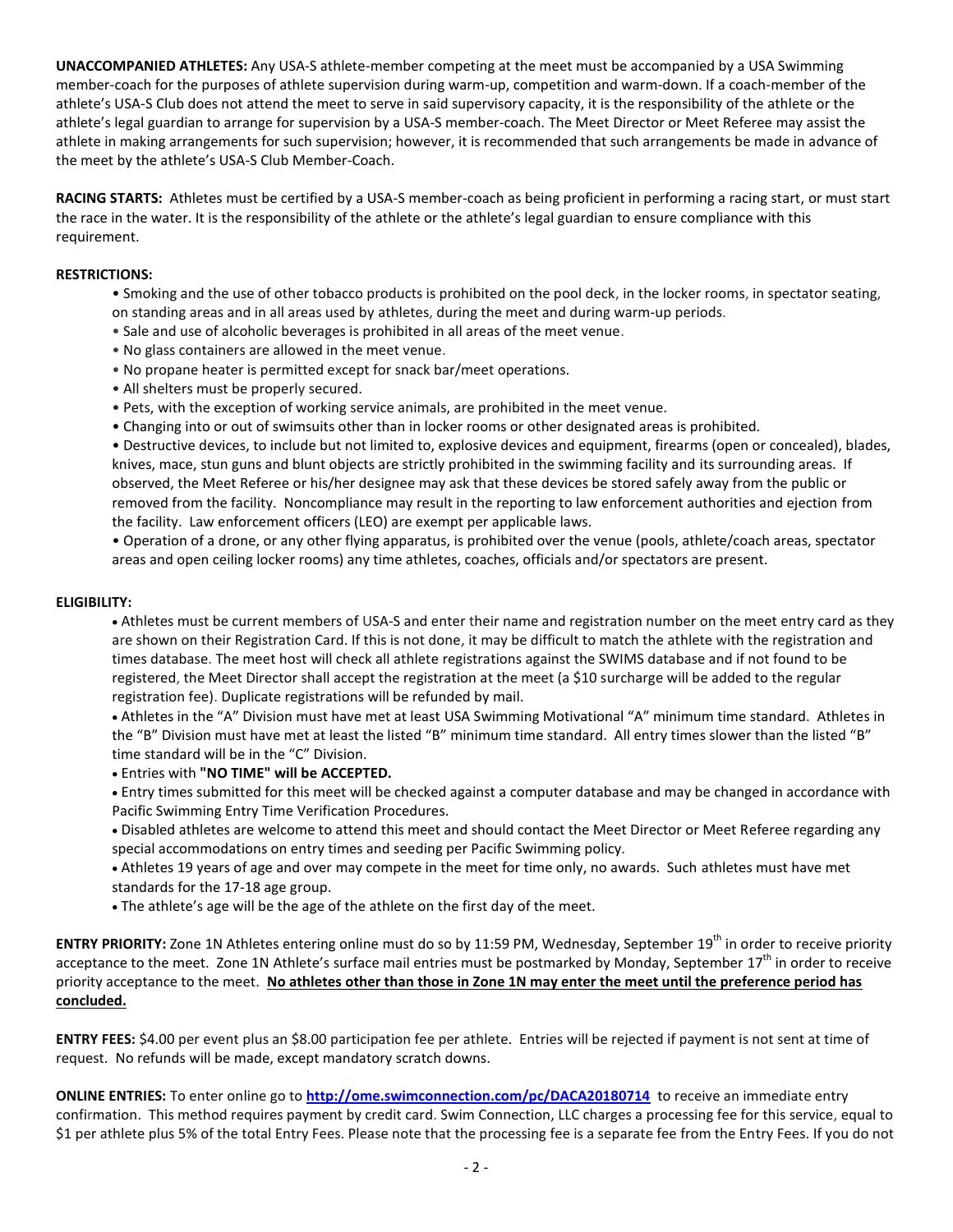**UNACCOMPANIED ATHLETES:** Any USA-S athlete-member competing at the meet must be accompanied by a USA Swimming member-coach for the purposes of athlete supervision during warm-up, competition and warm-down. If a coach-member of the athlete's USA-S Club does not attend the meet to serve in said supervisory capacity, it is the responsibility of the athlete or the athlete's legal guardian to arrange for supervision by a USA-S member-coach. The Meet Director or Meet Referee may assist the athlete in making arrangements for such supervision; however, it is recommended that such arrangements be made in advance of the meet by the athlete's USA-S Club Member-Coach.

**RACING STARTS:** Athletes must be certified by a USA-S member-coach as being proficient in performing a racing start, or must start the race in the water. It is the responsibility of the athlete or the athlete's legal guardian to ensure compliance with this requirement.

## **RESTRICTIONS:**

- Smoking and the use of other tobacco products is prohibited on the pool deck, in the locker rooms, in spectator seating, on standing areas and in all areas used by athletes, during the meet and during warm-up periods.
- Sale and use of alcoholic beverages is prohibited in all areas of the meet venue.
- No glass containers are allowed in the meet venue.
- No propane heater is permitted except for snack bar/meet operations.
- All shelters must be properly secured.
- Pets, with the exception of working service animals, are prohibited in the meet venue.
- Changing into or out of swimsuits other than in locker rooms or other designated areas is prohibited.

• Destructive devices, to include but not limited to, explosive devices and equipment, firearms (open or concealed), blades, knives, mace, stun guns and blunt objects are strictly prohibited in the swimming facility and its surrounding areas. If observed, the Meet Referee or his/her designee may ask that these devices be stored safely away from the public or removed from the facility. Noncompliance may result in the reporting to law enforcement authorities and ejection from the facility. Law enforcement officers (LEO) are exempt per applicable laws.

• Operation of a drone, or any other flying apparatus, is prohibited over the venue (pools, athlete/coach areas, spectator areas and open ceiling locker rooms) any time athletes, coaches, officials and/or spectators are present.

#### **ELIGIBILITY:**

 Athletes must be current members of USA-S and enter their name and registration number on the meet entry card as they are shown on their Registration Card. If this is not done, it may be difficult to match the athlete with the registration and times database. The meet host will check all athlete registrations against the SWIMS database and if not found to be registered, the Meet Director shall accept the registration at the meet (a \$10 surcharge will be added to the regular registration fee). Duplicate registrations will be refunded by mail.

 Athletes in the "A" Division must have met at least USA Swimming Motivational "A" minimum time standard. Athletes in the "B" Division must have met at least the listed "B" minimum time standard. All entry times slower than the listed "B" time standard will be in the "C" Division.

Entries with **"NO TIME" will be ACCEPTED.** 

 Entry times submitted for this meet will be checked against a computer database and may be changed in accordance with Pacific Swimming Entry Time Verification Procedures.

- Disabled athletes are welcome to attend this meet and should contact the Meet Director or Meet Referee regarding any special accommodations on entry times and seeding per Pacific Swimming policy.
- Athletes 19 years of age and over may compete in the meet for time only, no awards. Such athletes must have met standards for the 17-18 age group.
- The athlete's age will be the age of the athlete on the first day of the meet.

**ENTRY PRIORITY:** Zone 1N Athletes entering online must do so by 11:59 PM, Wednesday, September 19<sup>th</sup> in order to receive priority acceptance to the meet. Zone 1N Athlete's surface mail entries must be postmarked by Monday, September  $17<sup>th</sup>$  in order to receive priority acceptance to the meet. **No athletes other than those in Zone 1N may enter the meet until the preference period has concluded.**

**ENTRY FEES:** \$4.00 per event plus an \$8.00 participation fee per athlete. Entries will be rejected if payment is not sent at time of request. No refunds will be made, except mandatory scratch downs.

**ONLINE ENTRIES:** To enter online go to **<http://ome.swimconnection.com/pc/DACA20180714>**to receive an immediate entry confirmation. This method requires payment by credit card. Swim Connection, LLC charges a processing fee for this service, equal to \$1 per athlete plus 5% of the total Entry Fees. Please note that the processing fee is a separate fee from the Entry Fees. If you do not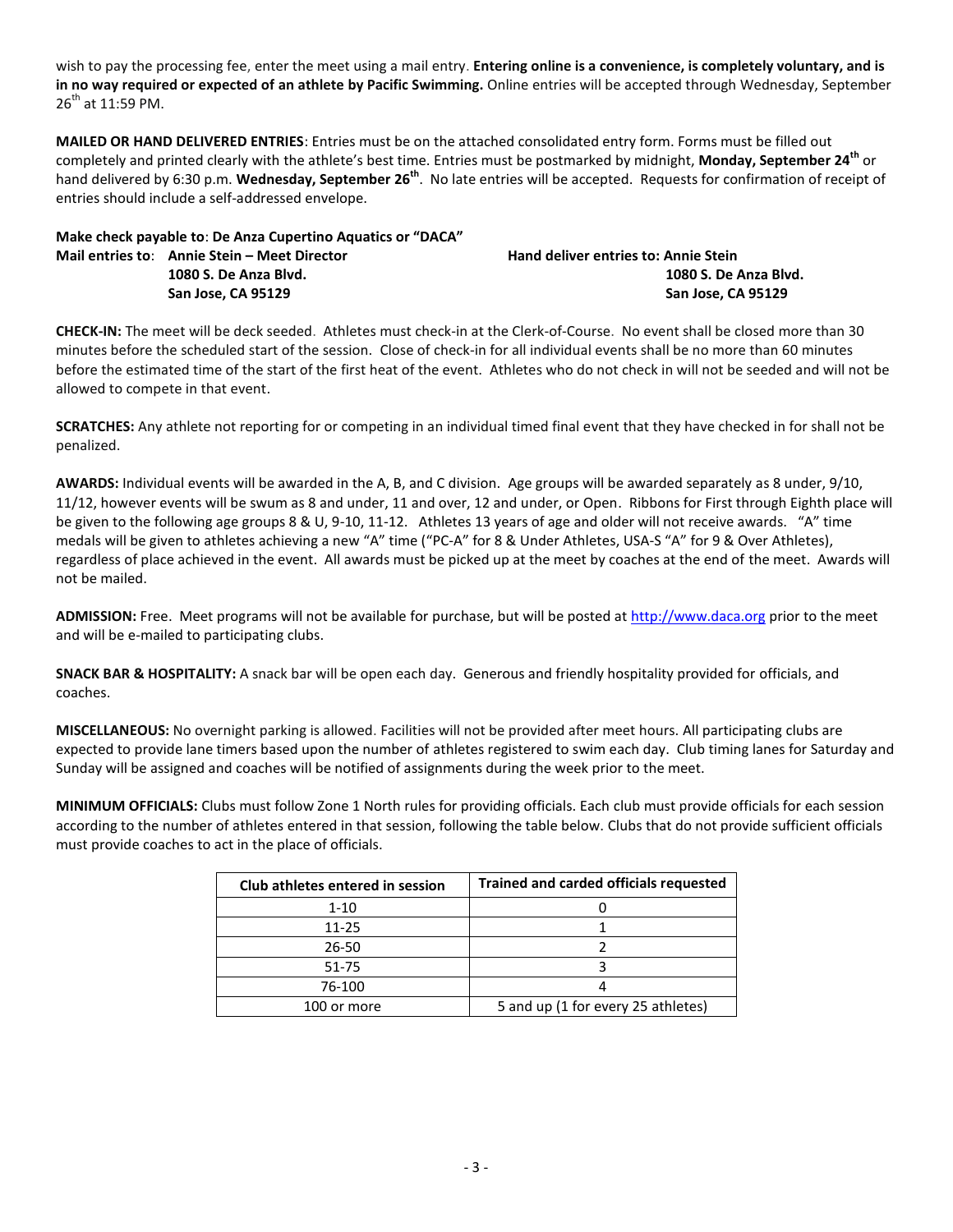wish to pay the processing fee, enter the meet using a mail entry. **Entering online is a convenience, is completely voluntary, and is in no way required or expected of an athlete by Pacific Swimming.** Online entries will be accepted through Wednesday, September  $26^{th}$  at 11:59 PM.

**MAILED OR HAND DELIVERED ENTRIES**: Entries must be on the attached consolidated entry form. Forms must be filled out completely and printed clearly with the athlete's best time. Entries must be postmarked by midnight, **Monday, September 24th** or hand delivered by 6:30 p.m. **Wednesday, September 26th** . No late entries will be accepted. Requests for confirmation of receipt of entries should include a self-addressed envelope.

| Make check payable to: De Anza Cupertino Aquatics or "DACA" |                                                                                             |
|-------------------------------------------------------------|---------------------------------------------------------------------------------------------|
|                                                             | <b>Hand deliver entries to: Annie Stein</b>                                                 |
|                                                             | 1080 S. De Anza Blvd.                                                                       |
|                                                             | San Jose. CA 95129                                                                          |
|                                                             | Mail entries to: Annie Stein – Meet Director<br>1080 S. De Anza Blvd.<br>San Jose. CA 95129 |

**CHECK-IN:** The meet will be deck seeded. Athletes must check-in at the Clerk-of-Course. No event shall be closed more than 30 minutes before the scheduled start of the session. Close of check-in for all individual events shall be no more than 60 minutes before the estimated time of the start of the first heat of the event. Athletes who do not check in will not be seeded and will not be allowed to compete in that event.

**SCRATCHES:** Any athlete not reporting for or competing in an individual timed final event that they have checked in for shall not be penalized.

**AWARDS:** Individual events will be awarded in the A, B, and C division. Age groups will be awarded separately as 8 under, 9/10, 11/12, however events will be swum as 8 and under, 11 and over, 12 and under, or Open. Ribbons for First through Eighth place will be given to the following age groups 8 & U, 9-10, 11-12. Athletes 13 years of age and older will not receive awards. "A" time medals will be given to athletes achieving a new "A" time ("PC-A" for 8 & Under Athletes, USA-S "A" for 9 & Over Athletes), regardless of place achieved in the event. All awards must be picked up at the meet by coaches at the end of the meet. Awards will not be mailed.

**ADMISSION:** Free. Meet programs will not be available for purchase, but will be posted a[t http://www.daca.org](http://www.daca.org/) prior to the meet and will be e-mailed to participating clubs.

**SNACK BAR & HOSPITALITY:** A snack bar will be open each day. Generous and friendly hospitality provided for officials, and coaches.

**MISCELLANEOUS:** No overnight parking is allowed. Facilities will not be provided after meet hours. All participating clubs are expected to provide lane timers based upon the number of athletes registered to swim each day. Club timing lanes for Saturday and Sunday will be assigned and coaches will be notified of assignments during the week prior to the meet.

**MINIMUM OFFICIALS:** Clubs must follow Zone 1 North rules for providing officials. Each club must provide officials for each session according to the number of athletes entered in that session, following the table below. Clubs that do not provide sufficient officials must provide coaches to act in the place of officials.

| Club athletes entered in session | <b>Trained and carded officials requested</b> |
|----------------------------------|-----------------------------------------------|
| $1 - 10$                         |                                               |
| $11 - 25$                        |                                               |
| 26-50                            |                                               |
| 51-75                            |                                               |
| 76-100                           |                                               |
| 100 or more                      | 5 and up (1 for every 25 athletes)            |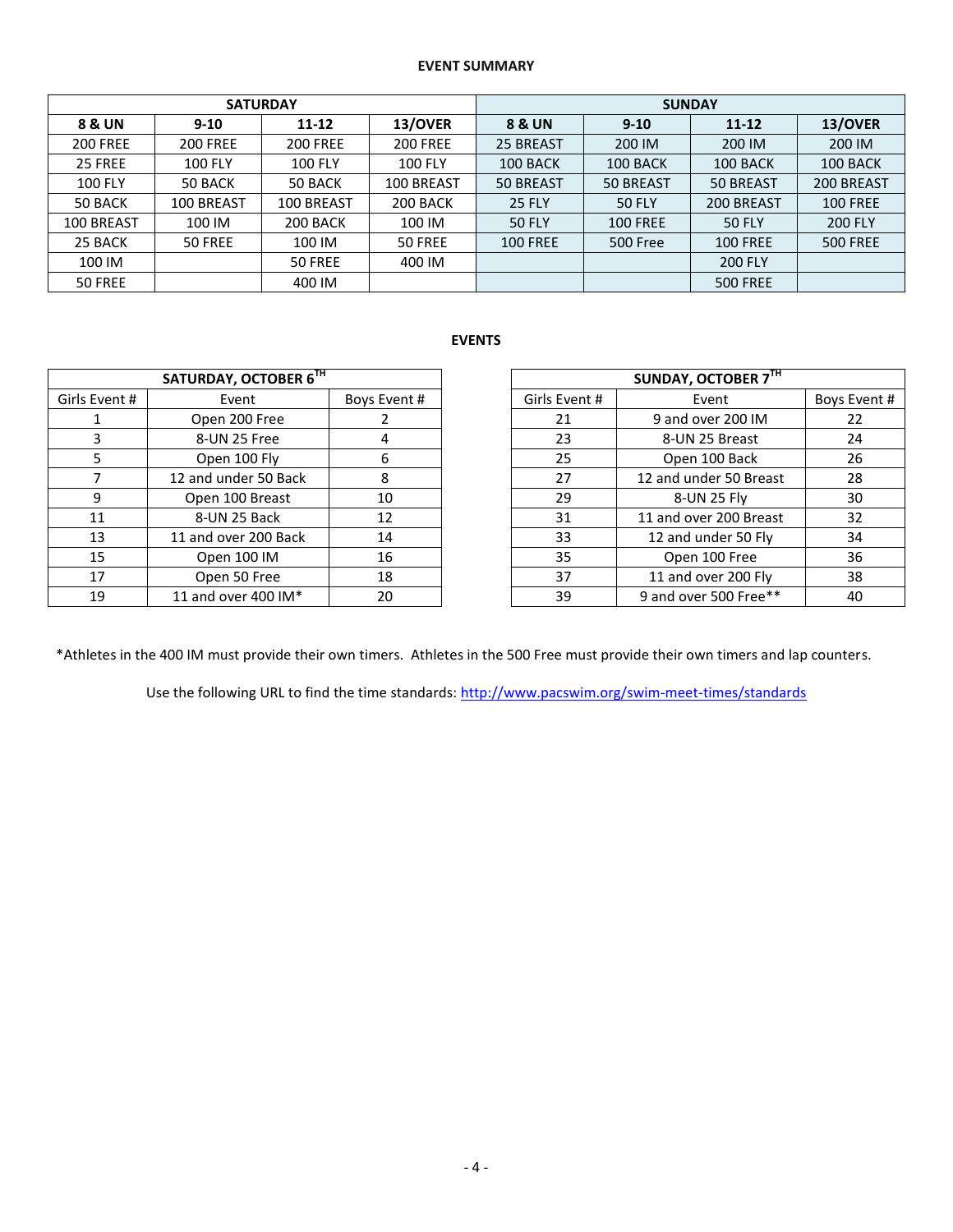## **EVENT SUMMARY**

|                 |                 | <b>SATURDAY</b> |                 | <b>SUNDAY</b>   |                 |                 |                 |  |  |
|-----------------|-----------------|-----------------|-----------------|-----------------|-----------------|-----------------|-----------------|--|--|
| 8 & UN          | $9 - 10$        | $11 - 12$       | 13/OVER         | 8 & UN          | $9 - 10$        | $11 - 12$       | 13/OVER         |  |  |
| <b>200 FREE</b> | <b>200 FREE</b> | <b>200 FREE</b> | <b>200 FREE</b> | 25 BREAST       | 200 IM          | 200 IM          | 200 IM          |  |  |
| 25 FREE         | <b>100 FLY</b>  | <b>100 FLY</b>  | <b>100 FLY</b>  | 100 BACK        | 100 BACK        | 100 BACK        | 100 BACK        |  |  |
| <b>100 FLY</b>  | 50 BACK         | 50 BACK         | 100 BREAST      | 50 BREAST       | 50 BREAST       | 50 BREAST       | 200 BREAST      |  |  |
| 50 BACK         | 100 BREAST      | 100 BREAST      | 200 BACK        | <b>25 FLY</b>   | <b>50 FLY</b>   | 200 BREAST      | <b>100 FREE</b> |  |  |
| 100 BREAST      | 100 IM          | 200 BACK        | 100 IM          | <b>50 FLY</b>   | <b>100 FREE</b> | <b>50 FLY</b>   | <b>200 FLY</b>  |  |  |
| 25 BACK         | 50 FREE         | 100 IM          | 50 FREE         | <b>100 FREE</b> | 500 Free        | <b>100 FREE</b> | <b>500 FREE</b> |  |  |
| 100 IM          |                 | 50 FREE         | 400 IM          |                 |                 | <b>200 FLY</b>  |                 |  |  |
| 50 FREE         |                 | 400 IM          |                 |                 |                 | <b>500 FREE</b> |                 |  |  |

# **EVENTS**

| SATURDAY, OCTOBER 6TH |                      |              |               | SUNDAY, OCTOBER 7TH    |         |
|-----------------------|----------------------|--------------|---------------|------------------------|---------|
| Girls Event #         | Event                | Boys Event # | Girls Event # | Event                  | Boys Ev |
|                       | Open 200 Free        |              | 21            | 9 and over 200 IM      | 22      |
| 3                     | 8-UN 25 Free         | 4            | 23            | 8-UN 25 Breast         | 24      |
| 5.                    | Open 100 Fly         | 6            | 25            | Open 100 Back          | 26      |
|                       | 12 and under 50 Back | 8            | 27            | 12 and under 50 Breast | 28      |
| 9                     | Open 100 Breast      | 10           | 29            | 8-UN 25 Fly            | 30      |
| 11                    | 8-UN 25 Back         | 12           | 31            | 11 and over 200 Breast | 32      |
| 13                    | 11 and over 200 Back | 14           | 33            | 12 and under 50 Fly    | 34      |
| 15                    | Open 100 IM          | 16           | 35            | Open 100 Free          | 36      |
| 17                    | Open 50 Free         | 18           | 37            | 11 and over 200 Fly    | 38      |
| 19                    | 11 and over 400 IM*  | 20           | 39            | 9 and over 500 Free**  | 40      |

| SATURDAY, OCTOBER 6TH |                           |              |  |               | SUNDAY, OCTOBER 7TH    |              |
|-----------------------|---------------------------|--------------|--|---------------|------------------------|--------------|
| Girls Event #         | Event                     | Boys Event # |  | Girls Event # | Event                  | Boys Event # |
|                       | Open 200 Free             |              |  | 21            | 9 and over 200 IM      | 22           |
|                       | 8-UN 25 Free              | 4            |  | 23            | 8-UN 25 Breast         | 24           |
|                       | Open 100 Fly              | 6            |  | 25            | Open 100 Back          | 26           |
|                       | 12 and under 50 Back      | 8            |  | 27            | 12 and under 50 Breast | 28           |
| q                     | Open 100 Breast           | 10           |  | 29            | 8-UN 25 Fly            | 30           |
| 11                    | 8-UN 25 Back              | 12           |  | 31            | 11 and over 200 Breast | 32           |
| 13                    | 11 and over 200 Back      | 14           |  | 33            | 12 and under 50 Fly    | 34           |
| 15                    | Open 100 IM               | 16           |  | 35            | Open 100 Free          | 36           |
| 17                    | Open 50 Free              | 18           |  | 37            | 11 and over 200 Fly    | 38           |
| 19                    | 11 and over 400 IM*<br>20 |              |  | 39            | 9 and over 500 Free**  | 40           |

\*Athletes in the 400 IM must provide their own timers. Athletes in the 500 Free must provide their own timers and lap counters.

Use the following URL to find the time standards: <http://www.pacswim.org/swim-meet-times/standards>